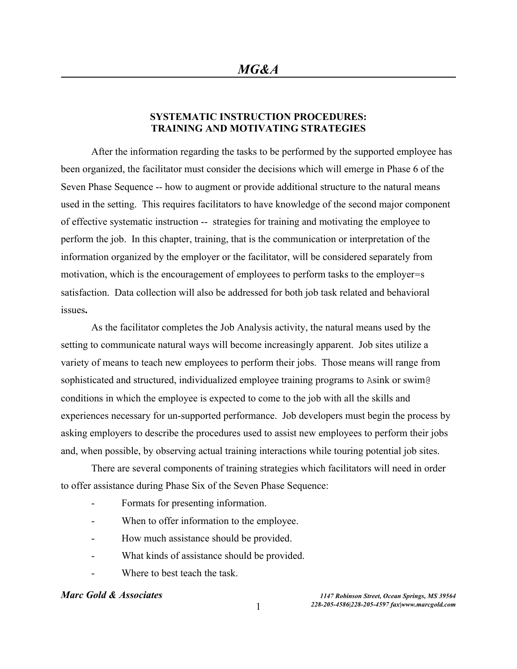## **SYSTEMATIC INSTRUCTION PROCEDURES: TRAINING AND MOTIVATING STRATEGIES**

After the information regarding the tasks to be performed by the supported employee has been organized, the facilitator must consider the decisions which will emerge in Phase 6 of the Seven Phase Sequence -- how to augment or provide additional structure to the natural means used in the setting. This requires facilitators to have knowledge of the second major component of effective systematic instruction -- strategies for training and motivating the employee to perform the job. In this chapter, training, that is the communication or interpretation of the information organized by the employer or the facilitator, will be considered separately from motivation, which is the encouragement of employees to perform tasks to the employer=s satisfaction.Data collection will also be addressed for both job task related and behavioral issues**.**

As the facilitator completes the Job Analysis activity, the natural means used by the setting to communicate natural ways will become increasingly apparent. Job sites utilize a variety of means to teach new employees to perform their jobs. Those means will range from sophisticated and structured, individualized employee training programs to Asink or swim@ conditions in which the employee is expected to come to the job with all the skills and experiences necessary for un-supported performance. Job developers must begin the process by asking employers to describe the procedures used to assist new employees to perform their jobs and, when possible, by observing actual training interactions while touring potential job sites.

There are several components of training strategies which facilitators will need in order to offer assistance during Phase Six of the Seven Phase Sequence:

- Formats for presenting information.
- When to offer information to the employee.
- How much assistance should be provided.
- What kinds of assistance should be provided.
- Where to best teach the task.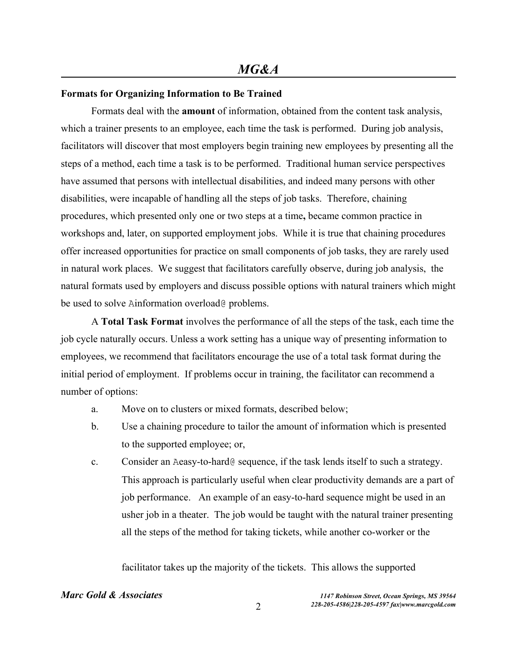### **Formats for Organizing Information to Be Trained**

Formats deal with the **amount** of information, obtained from the content task analysis, which a trainer presents to an employee, each time the task is performed. During job analysis, facilitators will discover that most employers begin training new employees by presenting all the steps of a method, each time a task is to be performed. Traditional human service perspectives have assumed that persons with intellectual disabilities, and indeed many persons with other disabilities, were incapable of handling all the steps of job tasks. Therefore, chaining procedures, which presented only one or two steps at a time**,** became common practice in workshops and, later, on supported employment jobs. While it is true that chaining procedures offer increased opportunities for practice on small components of job tasks, they are rarely used in natural work places. We suggest that facilitators carefully observe, during job analysis, the natural formats used by employers and discuss possible options with natural trainers which might be used to solve Ainformation overload@ problems.

A **Total Task Format** involves the performance of all the steps of the task, each time the job cycle naturally occurs. Unless a work setting has a unique way of presenting information to employees, we recommend that facilitators encourage the use of a total task format during the initial period of employment. If problems occur in training, the facilitator can recommend a number of options:

- a. Move on to clusters or mixed formats, described below;
- b. Use a chaining procedure to tailor the amount of information which is presented to the supported employee; or,
- c. Consider an Aeasy-to-hard@ sequence, if the task lends itself to such a strategy. This approach is particularly useful when clear productivity demands are a part of job performance. An example of an easy-to-hard sequence might be used in an usher job in a theater. The job would be taught with the natural trainer presenting all the steps of the method for taking tickets, while another co-worker or the

facilitator takes up the majority of the tickets. This allows the supported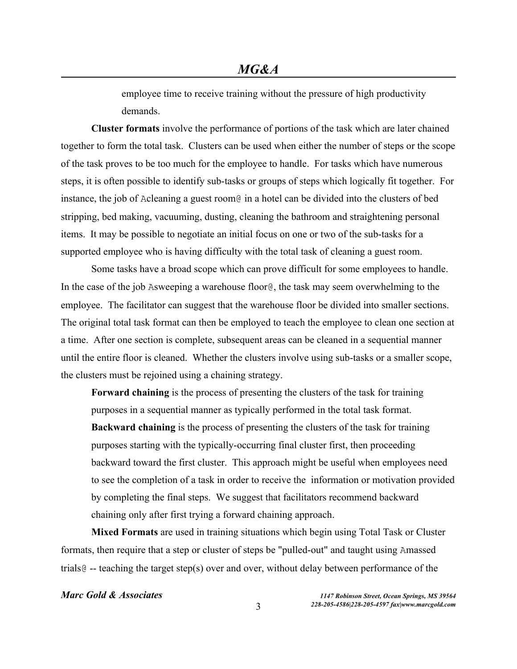employee time to receive training without the pressure of high productivity demands.

**Cluster formats** involve the performance of portions of the task which are later chained together to form the total task. Clusters can be used when either the number of steps or the scope of the task proves to be too much for the employee to handle. For tasks which have numerous steps, it is often possible to identify sub-tasks or groups of steps which logically fit together. For instance, the job of Acleaning a guest room@ in a hotel can be divided into the clusters of bed stripping, bed making, vacuuming, dusting, cleaning the bathroom and straightening personal items. It may be possible to negotiate an initial focus on one or two of the sub-tasks for a supported employee who is having difficulty with the total task of cleaning a guest room.

Some tasks have a broad scope which can prove difficult for some employees to handle. In the case of the job Asweeping a warehouse floor@, the task may seem overwhelming to the employee. The facilitator can suggest that the warehouse floor be divided into smaller sections. The original total task format can then be employed to teach the employee to clean one section at a time. After one section is complete, subsequent areas can be cleaned in a sequential manner until the entire floor is cleaned. Whether the clusters involve using sub-tasks or a smaller scope, the clusters must be rejoined using a chaining strategy.

**Forward chaining** is the process of presenting the clusters of the task for training purposes in a sequential manner as typically performed in the total task format. **Backward chaining** is the process of presenting the clusters of the task for training purposes starting with the typically-occurring final cluster first, then proceeding backward toward the first cluster. This approach might be useful when employees need to see the completion of a task in order to receive the information or motivation provided by completing the final steps. We suggest that facilitators recommend backward chaining only after first trying a forward chaining approach.

**Mixed Formats** are used in training situations which begin using Total Task or Cluster formats, then require that a step or cluster of steps be "pulled-out" and taught using Amassed trials@ -- teaching the target step(s) over and over, without delay between performance of the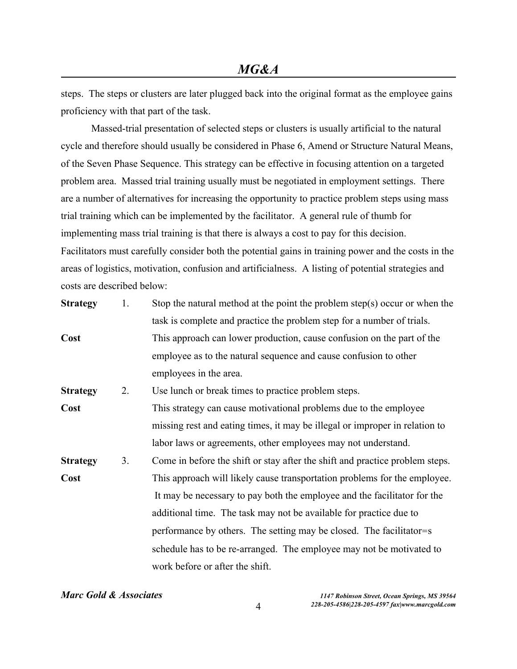steps. The steps or clusters are later plugged back into the original format as the employee gains proficiency with that part of the task.

 Massed-trial presentation of selected steps or clusters is usually artificial to the natural cycle and therefore should usually be considered in Phase 6, Amend or Structure Natural Means, of the Seven Phase Sequence. This strategy can be effective in focusing attention on a targeted problem area. Massed trial training usually must be negotiated in employment settings. There are a number of alternatives for increasing the opportunity to practice problem steps using mass trial training which can be implemented by the facilitator. A general rule of thumb for implementing mass trial training is that there is always a cost to pay for this decision. Facilitators must carefully consider both the potential gains in training power and the costs in the areas of logistics, motivation, confusion and artificialness. A listing of potential strategies and costs are described below:

| <b>Strategy</b> | 1. | Stop the natural method at the point the problem step(s) occur or when the   |
|-----------------|----|------------------------------------------------------------------------------|
|                 |    | task is complete and practice the problem step for a number of trials.       |
| Cost            |    | This approach can lower production, cause confusion on the part of the       |
|                 |    | employee as to the natural sequence and cause confusion to other             |
|                 |    | employees in the area.                                                       |
| <b>Strategy</b> | 2. | Use lunch or break times to practice problem steps.                          |
| Cost            |    | This strategy can cause motivational problems due to the employee            |
|                 |    | missing rest and eating times, it may be illegal or improper in relation to  |
|                 |    | labor laws or agreements, other employees may not understand.                |
| <b>Strategy</b> | 3. | Come in before the shift or stay after the shift and practice problem steps. |
| Cost            |    | This approach will likely cause transportation problems for the employee.    |
|                 |    | It may be necessary to pay both the employee and the facilitator for the     |
|                 |    | additional time. The task may not be available for practice due to           |
|                 |    | performance by others. The setting may be closed. The facilitator=s          |
|                 |    | schedule has to be re-arranged. The employee may not be motivated to         |
|                 |    | work before or after the shift.                                              |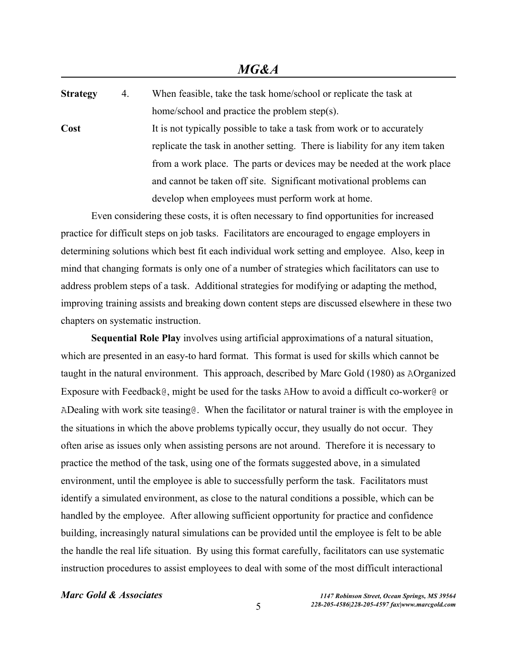**Strategy** 4. When feasible, take the task home/school or replicate the task at home/school and practice the problem step(s). **Cost** It is not typically possible to take a task from work or to accurately replicate the task in another setting. There is liability for any item taken from a work place. The parts or devices may be needed at the work place and cannot be taken off site. Significant motivational problems can develop when employees must perform work at home.

Even considering these costs, it is often necessary to find opportunities for increased practice for difficult steps on job tasks. Facilitators are encouraged to engage employers in determining solutions which best fit each individual work setting and employee. Also, keep in mind that changing formats is only one of a number of strategies which facilitators can use to address problem steps of a task. Additional strategies for modifying or adapting the method, improving training assists and breaking down content steps are discussed elsewhere in these two chapters on systematic instruction.

**Sequential Role Play** involves using artificial approximations of a natural situation, which are presented in an easy-to hard format. This format is used for skills which cannot be taught in the natural environment. This approach, described by Marc Gold (1980) as AOrganized Exposure with Feedback@, might be used for the tasks AHow to avoid a difficult co-worker@ or ADealing with work site teasing@. When the facilitator or natural trainer is with the employee in the situations in which the above problems typically occur, they usually do not occur. They often arise as issues only when assisting persons are not around. Therefore it is necessary to practice the method of the task, using one of the formats suggested above, in a simulated environment, until the employee is able to successfully perform the task. Facilitators must identify a simulated environment, as close to the natural conditions a possible, which can be handled by the employee. After allowing sufficient opportunity for practice and confidence building, increasingly natural simulations can be provided until the employee is felt to be able the handle the real life situation. By using this format carefully, facilitators can use systematic instruction procedures to assist employees to deal with some of the most difficult interactional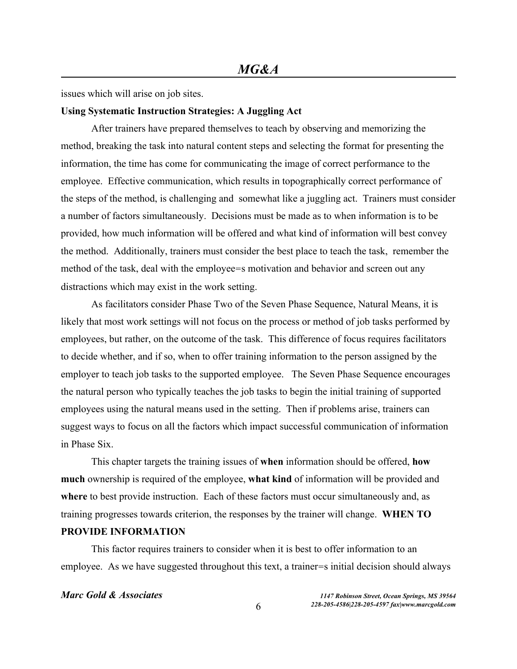issues which will arise on job sites.

### **Using Systematic Instruction Strategies: A Juggling Act**

After trainers have prepared themselves to teach by observing and memorizing the method, breaking the task into natural content steps and selecting the format for presenting the information, the time has come for communicating the image of correct performance to the employee. Effective communication, which results in topographically correct performance of the steps of the method, is challenging and somewhat like a juggling act. Trainers must consider a number of factors simultaneously. Decisions must be made as to when information is to be provided, how much information will be offered and what kind of information will best convey the method. Additionally, trainers must consider the best place to teach the task, remember the method of the task, deal with the employee=s motivation and behavior and screen out any distractions which may exist in the work setting.

As facilitators consider Phase Two of the Seven Phase Sequence, Natural Means, it is likely that most work settings will not focus on the process or method of job tasks performed by employees, but rather, on the outcome of the task. This difference of focus requires facilitators to decide whether, and if so, when to offer training information to the person assigned by the employer to teach job tasks to the supported employee. The Seven Phase Sequence encourages the natural person who typically teaches the job tasks to begin the initial training of supported employees using the natural means used in the setting. Then if problems arise, trainers can suggest ways to focus on all the factors which impact successful communication of information in Phase Six.

This chapter targets the training issues of **when** information should be offered, **how much** ownership is required of the employee, **what kind** of information will be provided and **where** to best provide instruction. Each of these factors must occur simultaneously and, as training progresses towards criterion, the responses by the trainer will change. **WHEN TO PROVIDE INFORMATION**

This factor requires trainers to consider when it is best to offer information to an employee. As we have suggested throughout this text, a trainer=s initial decision should always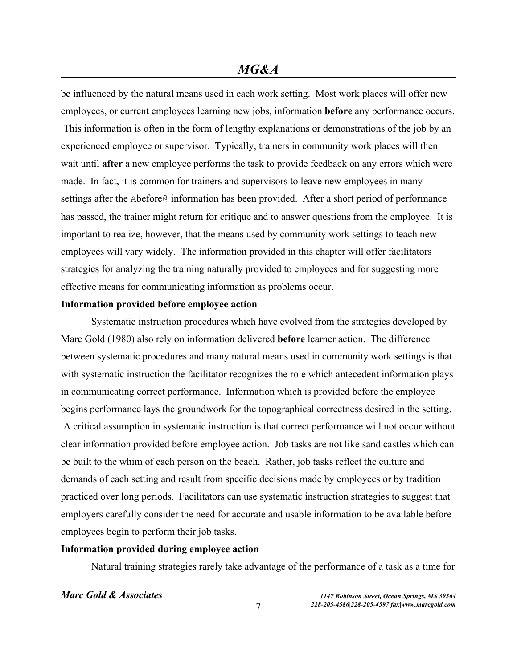be influenced by the natural means used in each work setting. Most work places will offer new employees, or current employees learning new jobs, information **before** any performance occurs. This information is often in the form of lengthy explanations or demonstrations of the job by an experienced employee or supervisor. Typically, trainers in community work places will then wait until **after** a new employee performs the task to provide feedback on any errors which were made. In fact, it is common for trainers and supervisors to leave new employees in many settings after the Abefore@ information has been provided. After a short period of performance has passed, the trainer might return for critique and to answer questions from the employee. It is important to realize, however, that the means used by community work settings to teach new employees will vary widely. The information provided in this chapter will offer facilitators strategies for analyzing the training naturally provided to employees and for suggesting more effective means for communicating information as problems occur.

### **Information provided before employee action**

Systematic instruction procedures which have evolved from the strategies developed by Marc Gold (1980) also rely on information delivered **before** learner action. The difference between systematic procedures and many natural means used in community work settings is that with systematic instruction the facilitator recognizes the role which antecedent information plays in communicating correct performance. Information which is provided before the employee begins performance lays the groundwork for the topographical correctness desired in the setting.

A critical assumption in systematic instruction is that correct performance will not occur without clear information provided before employee action. Job tasks are not like sand castles which can be built to the whim of each person on the beach. Rather, job tasks reflect the culture and demands of each setting and result from specific decisions made by employees or by tradition practiced over long periods. Facilitators can use systematic instruction strategies to suggest that employers carefully consider the need for accurate and usable information to be available before employees begin to perform their job tasks.

### **Information provided during employee action**

Natural training strategies rarely take advantage of the performance of a task as a time for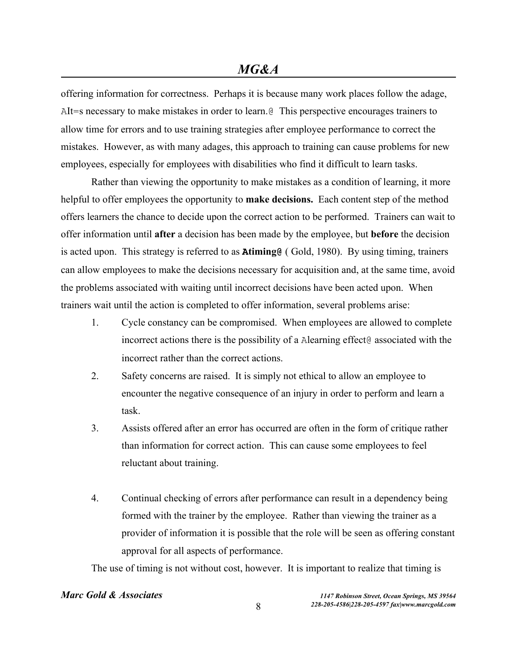offering information for correctness. Perhaps it is because many work places follow the adage, AIt=s necessary to make mistakes in order to learn.@ This perspective encourages trainers to allow time for errors and to use training strategies after employee performance to correct the mistakes. However, as with many adages, this approach to training can cause problems for new employees, especially for employees with disabilities who find it difficult to learn tasks.

Rather than viewing the opportunity to make mistakes as a condition of learning, it more helpful to offer employees the opportunity to **make decisions.** Each content step of the method offers learners the chance to decide upon the correct action to be performed. Trainers can wait to offer information until **after** a decision has been made by the employee, but **before** the decision is acted upon. This strategy is referred to as **Atiming@** ( Gold, 1980). By using timing, trainers can allow employees to make the decisions necessary for acquisition and, at the same time, avoid the problems associated with waiting until incorrect decisions have been acted upon. When trainers wait until the action is completed to offer information, several problems arise:

- 1. Cycle constancy can be compromised. When employees are allowed to complete incorrect actions there is the possibility of a Alearning effect@ associated with the incorrect rather than the correct actions.
- 2. Safety concerns are raised. It is simply not ethical to allow an employee to encounter the negative consequence of an injury in order to perform and learn a task.
- 3. Assists offered after an error has occurred are often in the form of critique rather than information for correct action. This can cause some employees to feel reluctant about training.
- 4. Continual checking of errors after performance can result in a dependency being formed with the trainer by the employee. Rather than viewing the trainer as a provider of information it is possible that the role will be seen as offering constant approval for all aspects of performance.

The use of timing is not without cost, however. It is important to realize that timing is

## *Marc Gold & Associates 1147 Robinson Street, Ocean Springs, MS 39564*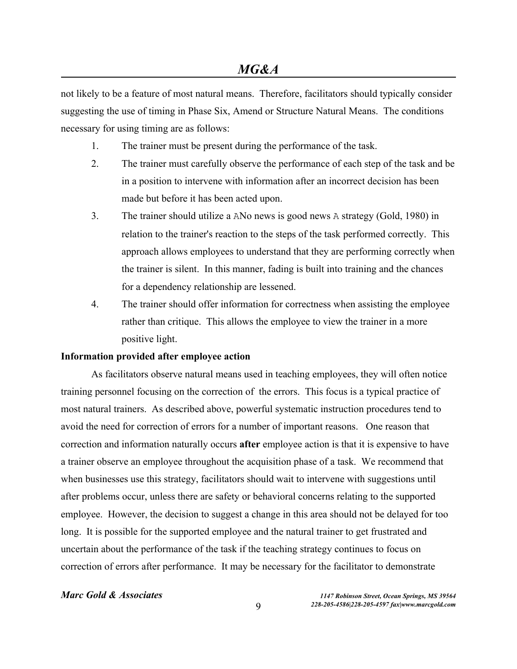not likely to be a feature of most natural means. Therefore, facilitators should typically consider suggesting the use of timing in Phase Six, Amend or Structure Natural Means. The conditions necessary for using timing are as follows:

- 1. The trainer must be present during the performance of the task.
- 2. The trainer must carefully observe the performance of each step of the task and be in a position to intervene with information after an incorrect decision has been made but before it has been acted upon.
- 3. The trainer should utilize a ANo news is good news A strategy (Gold, 1980) in relation to the trainer's reaction to the steps of the task performed correctly. This approach allows employees to understand that they are performing correctly when the trainer is silent. In this manner, fading is built into training and the chances for a dependency relationship are lessened.
- 4. The trainer should offer information for correctness when assisting the employee rather than critique. This allows the employee to view the trainer in a more positive light.

### **Information provided after employee action**

As facilitators observe natural means used in teaching employees, they will often notice training personnel focusing on the correction of the errors. This focus is a typical practice of most natural trainers. As described above, powerful systematic instruction procedures tend to avoid the need for correction of errors for a number of important reasons. One reason that correction and information naturally occurs **after** employee action is that it is expensive to have a trainer observe an employee throughout the acquisition phase of a task. We recommend that when businesses use this strategy, facilitators should wait to intervene with suggestions until after problems occur, unless there are safety or behavioral concerns relating to the supported employee. However, the decision to suggest a change in this area should not be delayed for too long. It is possible for the supported employee and the natural trainer to get frustrated and uncertain about the performance of the task if the teaching strategy continues to focus on correction of errors after performance. It may be necessary for the facilitator to demonstrate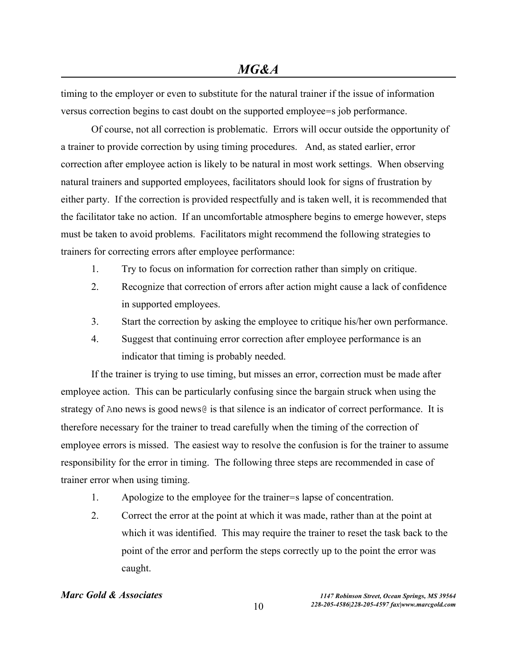timing to the employer or even to substitute for the natural trainer if the issue of information versus correction begins to cast doubt on the supported employee=s job performance.

Of course, not all correction is problematic. Errors will occur outside the opportunity of a trainer to provide correction by using timing procedures. And, as stated earlier, error correction after employee action is likely to be natural in most work settings. When observing natural trainers and supported employees, facilitators should look for signs of frustration by either party. If the correction is provided respectfully and is taken well, it is recommended that the facilitator take no action. If an uncomfortable atmosphere begins to emerge however, steps must be taken to avoid problems. Facilitators might recommend the following strategies to trainers for correcting errors after employee performance:

- 1. Try to focus on information for correction rather than simply on critique.
- 2. Recognize that correction of errors after action might cause a lack of confidence in supported employees.
- 3. Start the correction by asking the employee to critique his/her own performance.
- 4. Suggest that continuing error correction after employee performance is an indicator that timing is probably needed.

If the trainer is trying to use timing, but misses an error, correction must be made after employee action. This can be particularly confusing since the bargain struck when using the strategy of Ano news is good news@ is that silence is an indicator of correct performance. It is therefore necessary for the trainer to tread carefully when the timing of the correction of employee errors is missed. The easiest way to resolve the confusion is for the trainer to assume responsibility for the error in timing. The following three steps are recommended in case of trainer error when using timing.

- 1. Apologize to the employee for the trainer=s lapse of concentration.
- 2. Correct the error at the point at which it was made, rather than at the point at which it was identified. This may require the trainer to reset the task back to the point of the error and perform the steps correctly up to the point the error was caught.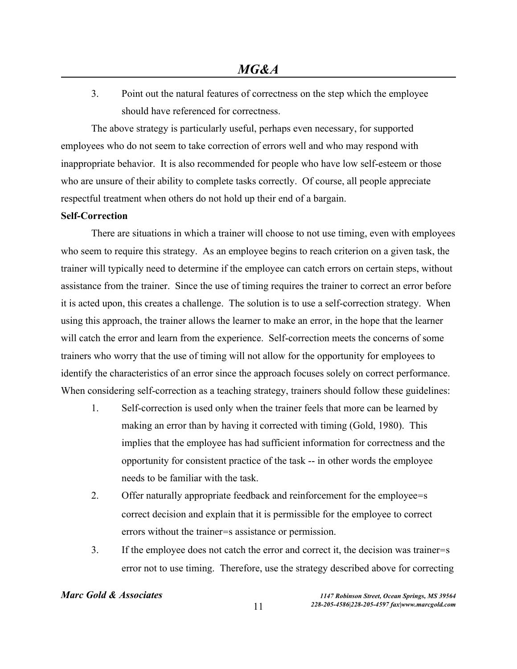3. Point out the natural features of correctness on the step which the employee should have referenced for correctness.

The above strategy is particularly useful, perhaps even necessary, for supported employees who do not seem to take correction of errors well and who may respond with inappropriate behavior. It is also recommended for people who have low self-esteem or those who are unsure of their ability to complete tasks correctly. Of course, all people appreciate respectful treatment when others do not hold up their end of a bargain.

### **Self-Correction**

There are situations in which a trainer will choose to not use timing, even with employees who seem to require this strategy. As an employee begins to reach criterion on a given task, the trainer will typically need to determine if the employee can catch errors on certain steps, without assistance from the trainer. Since the use of timing requires the trainer to correct an error before it is acted upon, this creates a challenge. The solution is to use a self-correction strategy. When using this approach, the trainer allows the learner to make an error, in the hope that the learner will catch the error and learn from the experience. Self-correction meets the concerns of some trainers who worry that the use of timing will not allow for the opportunity for employees to identify the characteristics of an error since the approach focuses solely on correct performance. When considering self-correction as a teaching strategy, trainers should follow these guidelines:

- 1. Self-correction is used only when the trainer feels that more can be learned by making an error than by having it corrected with timing (Gold, 1980). This implies that the employee has had sufficient information for correctness and the opportunity for consistent practice of the task -- in other words the employee needs to be familiar with the task.
- 2. Offer naturally appropriate feedback and reinforcement for the employee=s correct decision and explain that it is permissible for the employee to correct errors without the trainer=s assistance or permission.
- 3. If the employee does not catch the error and correct it, the decision was trainer=s error not to use timing. Therefore, use the strategy described above for correcting

## *Marc Gold & Associates 1147 Robinson Street, Ocean Springs, MS 39564*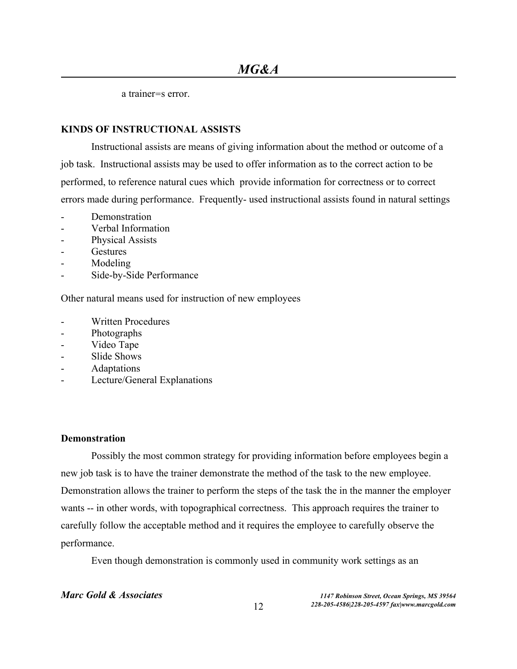a trainer=s error.

## **KINDS OF INSTRUCTIONAL ASSISTS**

Instructional assists are means of giving information about the method or outcome of a job task. Instructional assists may be used to offer information as to the correct action to be performed, to reference natural cues which provide information for correctness or to correct errors made during performance. Frequently- used instructional assists found in natural settings

- Demonstration
- Verbal Information
- Physical Assists
- **Gestures**
- Modeling
- Side-by-Side Performance

Other natural means used for instruction of new employees

- Written Procedures
- Photographs
- Video Tape
- Slide Shows
- Adaptations
- Lecture/General Explanations

### **Demonstration**

Possibly the most common strategy for providing information before employees begin a new job task is to have the trainer demonstrate the method of the task to the new employee. Demonstration allows the trainer to perform the steps of the task the in the manner the employer wants -- in other words, with topographical correctness. This approach requires the trainer to carefully follow the acceptable method and it requires the employee to carefully observe the performance.

Even though demonstration is commonly used in community work settings as an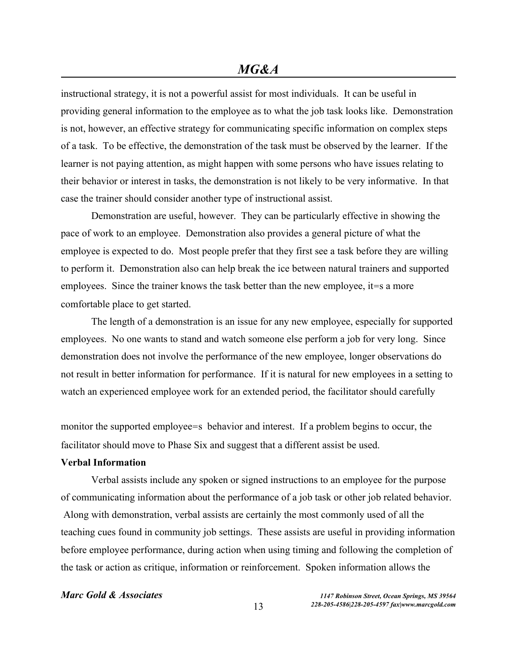instructional strategy, it is not a powerful assist for most individuals. It can be useful in providing general information to the employee as to what the job task looks like. Demonstration is not, however, an effective strategy for communicating specific information on complex steps of a task. To be effective, the demonstration of the task must be observed by the learner. If the learner is not paying attention, as might happen with some persons who have issues relating to their behavior or interest in tasks, the demonstration is not likely to be very informative. In that case the trainer should consider another type of instructional assist.

Demonstration are useful, however. They can be particularly effective in showing the pace of work to an employee. Demonstration also provides a general picture of what the employee is expected to do. Most people prefer that they first see a task before they are willing to perform it. Demonstration also can help break the ice between natural trainers and supported employees. Since the trainer knows the task better than the new employee, it=s a more comfortable place to get started.

The length of a demonstration is an issue for any new employee, especially for supported employees. No one wants to stand and watch someone else perform a job for very long. Since demonstration does not involve the performance of the new employee, longer observations do not result in better information for performance. If it is natural for new employees in a setting to watch an experienced employee work for an extended period, the facilitator should carefully

monitor the supported employee=s behavior and interest. If a problem begins to occur, the facilitator should move to Phase Six and suggest that a different assist be used.

### **Verbal Information**

Verbal assists include any spoken or signed instructions to an employee for the purpose of communicating information about the performance of a job task or other job related behavior. Along with demonstration, verbal assists are certainly the most commonly used of all the teaching cues found in community job settings. These assists are useful in providing information before employee performance, during action when using timing and following the completion of the task or action as critique, information or reinforcement. Spoken information allows the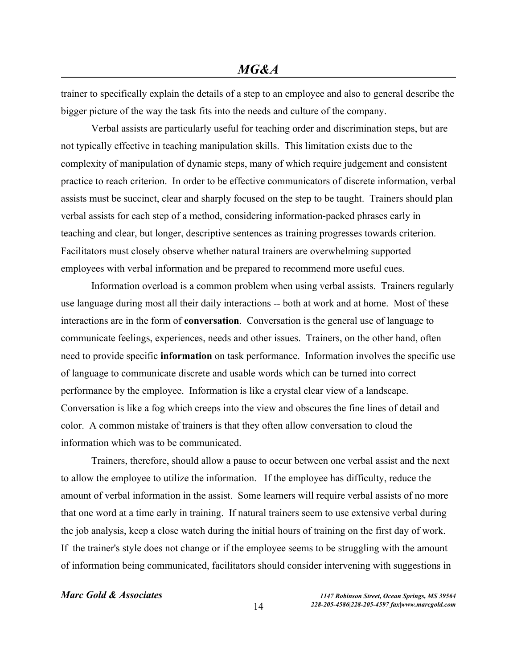trainer to specifically explain the details of a step to an employee and also to general describe the bigger picture of the way the task fits into the needs and culture of the company.

Verbal assists are particularly useful for teaching order and discrimination steps, but are not typically effective in teaching manipulation skills. This limitation exists due to the complexity of manipulation of dynamic steps, many of which require judgement and consistent practice to reach criterion. In order to be effective communicators of discrete information, verbal assists must be succinct, clear and sharply focused on the step to be taught. Trainers should plan verbal assists for each step of a method, considering information-packed phrases early in teaching and clear, but longer, descriptive sentences as training progresses towards criterion. Facilitators must closely observe whether natural trainers are overwhelming supported employees with verbal information and be prepared to recommend more useful cues.

Information overload is a common problem when using verbal assists. Trainers regularly use language during most all their daily interactions -- both at work and at home. Most of these interactions are in the form of **conversation**. Conversation is the general use of language to communicate feelings, experiences, needs and other issues. Trainers, on the other hand, often need to provide specific **information** on task performance. Information involves the specific use of language to communicate discrete and usable words which can be turned into correct performance by the employee. Information is like a crystal clear view of a landscape. Conversation is like a fog which creeps into the view and obscures the fine lines of detail and color. A common mistake of trainers is that they often allow conversation to cloud the information which was to be communicated.

Trainers, therefore, should allow a pause to occur between one verbal assist and the next to allow the employee to utilize the information. If the employee has difficulty, reduce the amount of verbal information in the assist. Some learners will require verbal assists of no more that one word at a time early in training. If natural trainers seem to use extensive verbal during the job analysis, keep a close watch during the initial hours of training on the first day of work. If the trainer's style does not change or if the employee seems to be struggling with the amount of information being communicated, facilitators should consider intervening with suggestions in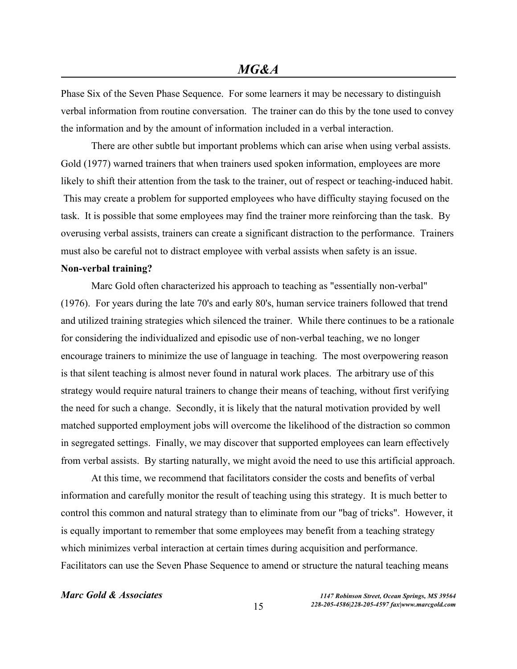Phase Six of the Seven Phase Sequence. For some learners it may be necessary to distinguish verbal information from routine conversation. The trainer can do this by the tone used to convey the information and by the amount of information included in a verbal interaction.

There are other subtle but important problems which can arise when using verbal assists. Gold (1977) warned trainers that when trainers used spoken information, employees are more likely to shift their attention from the task to the trainer, out of respect or teaching-induced habit. This may create a problem for supported employees who have difficulty staying focused on the task. It is possible that some employees may find the trainer more reinforcing than the task. By overusing verbal assists, trainers can create a significant distraction to the performance. Trainers must also be careful not to distract employee with verbal assists when safety is an issue.

### **Non-verbal training?**

Marc Gold often characterized his approach to teaching as "essentially non-verbal" (1976). For years during the late 70's and early 80's, human service trainers followed that trend and utilized training strategies which silenced the trainer. While there continues to be a rationale for considering the individualized and episodic use of non-verbal teaching, we no longer encourage trainers to minimize the use of language in teaching. The most overpowering reason is that silent teaching is almost never found in natural work places. The arbitrary use of this strategy would require natural trainers to change their means of teaching, without first verifying the need for such a change. Secondly, it is likely that the natural motivation provided by well matched supported employment jobs will overcome the likelihood of the distraction so common in segregated settings. Finally, we may discover that supported employees can learn effectively from verbal assists. By starting naturally, we might avoid the need to use this artificial approach.

At this time, we recommend that facilitators consider the costs and benefits of verbal information and carefully monitor the result of teaching using this strategy. It is much better to control this common and natural strategy than to eliminate from our "bag of tricks". However, it is equally important to remember that some employees may benefit from a teaching strategy which minimizes verbal interaction at certain times during acquisition and performance. Facilitators can use the Seven Phase Sequence to amend or structure the natural teaching means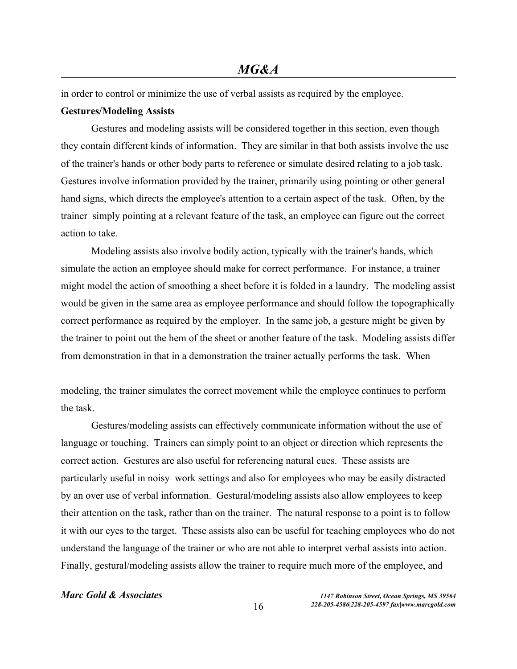in order to control or minimize the use of verbal assists as required by the employee.

### **Gestures/Modeling Assists**

Gestures and modeling assists will be considered together in this section, even though they contain different kinds of information. They are similar in that both assists involve the use of the trainer's hands or other body parts to reference or simulate desired relating to a job task. Gestures involve information provided by the trainer, primarily using pointing or other general hand signs, which directs the employee's attention to a certain aspect of the task. Often, by the trainer simply pointing at a relevant feature of the task, an employee can figure out the correct action to take.

Modeling assists also involve bodily action, typically with the trainer's hands, which simulate the action an employee should make for correct performance. For instance, a trainer might model the action of smoothing a sheet before it is folded in a laundry. The modeling assist would be given in the same area as employee performance and should follow the topographically correct performance as required by the employer. In the same job, a gesture might be given by the trainer to point out the hem of the sheet or another feature of the task. Modeling assists differ from demonstration in that in a demonstration the trainer actually performs the task. When

modeling, the trainer simulates the correct movement while the employee continues to perform the task.

Gestures/modeling assists can effectively communicate information without the use of language or touching. Trainers can simply point to an object or direction which represents the correct action. Gestures are also useful for referencing natural cues. These assists are particularly useful in noisy work settings and also for employees who may be easily distracted by an over use of verbal information. Gestural/modeling assists also allow employees to keep their attention on the task, rather than on the trainer. The natural response to a point is to follow it with our eyes to the target. These assists also can be useful for teaching employees who do not understand the language of the trainer or who are not able to interpret verbal assists into action. Finally, gestural/modeling assists allow the trainer to require much more of the employee, and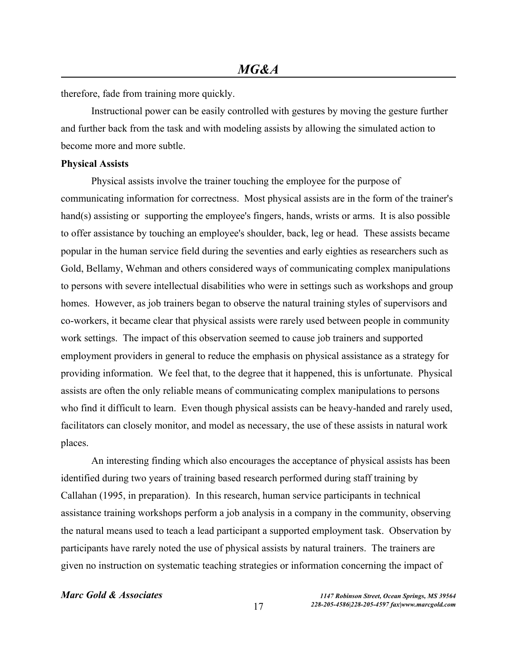therefore, fade from training more quickly.

Instructional power can be easily controlled with gestures by moving the gesture further and further back from the task and with modeling assists by allowing the simulated action to become more and more subtle.

### **Physical Assists**

Physical assists involve the trainer touching the employee for the purpose of communicating information for correctness. Most physical assists are in the form of the trainer's hand(s) assisting or supporting the employee's fingers, hands, wrists or arms. It is also possible to offer assistance by touching an employee's shoulder, back, leg or head. These assists became popular in the human service field during the seventies and early eighties as researchers such as Gold, Bellamy, Wehman and others considered ways of communicating complex manipulations to persons with severe intellectual disabilities who were in settings such as workshops and group homes. However, as job trainers began to observe the natural training styles of supervisors and co-workers, it became clear that physical assists were rarely used between people in community work settings. The impact of this observation seemed to cause job trainers and supported employment providers in general to reduce the emphasis on physical assistance as a strategy for providing information. We feel that, to the degree that it happened, this is unfortunate. Physical assists are often the only reliable means of communicating complex manipulations to persons who find it difficult to learn. Even though physical assists can be heavy-handed and rarely used, facilitators can closely monitor, and model as necessary, the use of these assists in natural work places.

An interesting finding which also encourages the acceptance of physical assists has been identified during two years of training based research performed during staff training by Callahan (1995, in preparation). In this research, human service participants in technical assistance training workshops perform a job analysis in a company in the community, observing the natural means used to teach a lead participant a supported employment task. Observation by participants have rarely noted the use of physical assists by natural trainers. The trainers are given no instruction on systematic teaching strategies or information concerning the impact of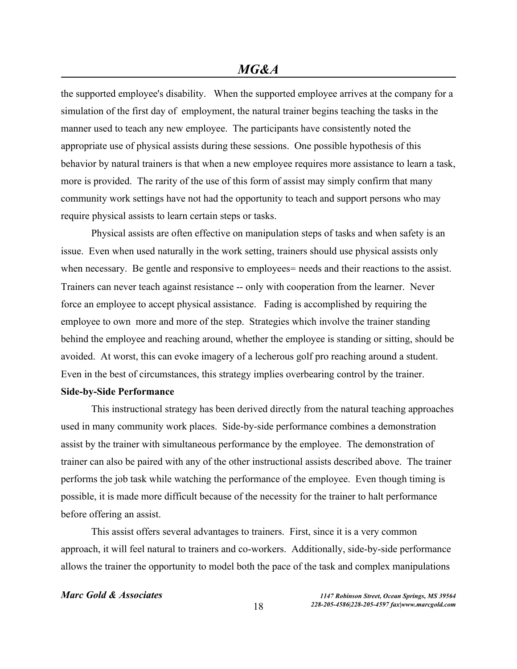the supported employee's disability. When the supported employee arrives at the company for a simulation of the first day of employment, the natural trainer begins teaching the tasks in the manner used to teach any new employee. The participants have consistently noted the appropriate use of physical assists during these sessions. One possible hypothesis of this behavior by natural trainers is that when a new employee requires more assistance to learn a task, more is provided. The rarity of the use of this form of assist may simply confirm that many community work settings have not had the opportunity to teach and support persons who may require physical assists to learn certain steps or tasks.

Physical assists are often effective on manipulation steps of tasks and when safety is an issue. Even when used naturally in the work setting, trainers should use physical assists only when necessary. Be gentle and responsive to employees= needs and their reactions to the assist. Trainers can never teach against resistance -- only with cooperation from the learner. Never force an employee to accept physical assistance. Fading is accomplished by requiring the employee to own more and more of the step. Strategies which involve the trainer standing behind the employee and reaching around, whether the employee is standing or sitting, should be avoided. At worst, this can evoke imagery of a lecherous golf pro reaching around a student. Even in the best of circumstances, this strategy implies overbearing control by the trainer. **Side-by-Side Performance**

This instructional strategy has been derived directly from the natural teaching approaches used in many community work places. Side-by-side performance combines a demonstration assist by the trainer with simultaneous performance by the employee. The demonstration of trainer can also be paired with any of the other instructional assists described above. The trainer performs the job task while watching the performance of the employee. Even though timing is possible, it is made more difficult because of the necessity for the trainer to halt performance before offering an assist.

This assist offers several advantages to trainers. First, since it is a very common approach, it will feel natural to trainers and co-workers. Additionally, side-by-side performance allows the trainer the opportunity to model both the pace of the task and complex manipulations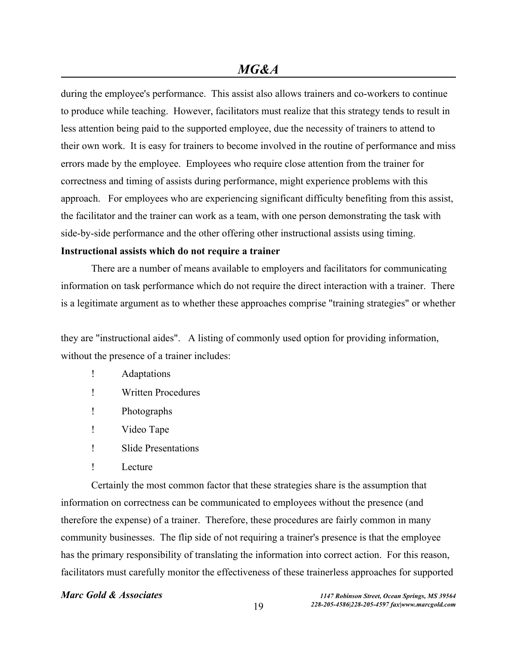during the employee's performance. This assist also allows trainers and co-workers to continue to produce while teaching. However, facilitators must realize that this strategy tends to result in less attention being paid to the supported employee, due the necessity of trainers to attend to their own work. It is easy for trainers to become involved in the routine of performance and miss errors made by the employee. Employees who require close attention from the trainer for correctness and timing of assists during performance, might experience problems with this approach. For employees who are experiencing significant difficulty benefiting from this assist, the facilitator and the trainer can work as a team, with one person demonstrating the task with side-by-side performance and the other offering other instructional assists using timing. **Instructional assists which do not require a trainer**

There are a number of means available to employers and facilitators for communicating information on task performance which do not require the direct interaction with a trainer. There is a legitimate argument as to whether these approaches comprise "training strategies" or whether

they are "instructional aides". A listing of commonly used option for providing information, without the presence of a trainer includes:

- ! Adaptations
- ! Written Procedures
- ! Photographs
- ! Video Tape
- ! Slide Presentations
- ! Lecture

Certainly the most common factor that these strategies share is the assumption that information on correctness can be communicated to employees without the presence (and therefore the expense) of a trainer. Therefore, these procedures are fairly common in many community businesses. The flip side of not requiring a trainer's presence is that the employee has the primary responsibility of translating the information into correct action. For this reason, facilitators must carefully monitor the effectiveness of these trainerless approaches for supported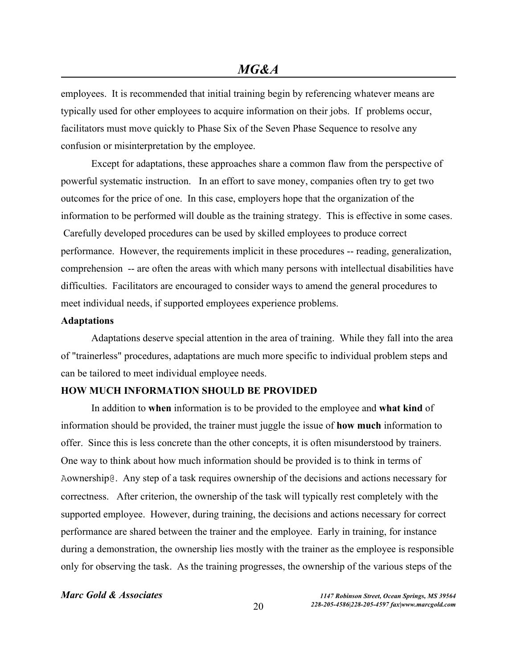employees. It is recommended that initial training begin by referencing whatever means are typically used for other employees to acquire information on their jobs. If problems occur, facilitators must move quickly to Phase Six of the Seven Phase Sequence to resolve any confusion or misinterpretation by the employee.

Except for adaptations, these approaches share a common flaw from the perspective of powerful systematic instruction. In an effort to save money, companies often try to get two outcomes for the price of one. In this case, employers hope that the organization of the information to be performed will double as the training strategy. This is effective in some cases. Carefully developed procedures can be used by skilled employees to produce correct performance. However, the requirements implicit in these procedures -- reading, generalization, comprehension -- are often the areas with which many persons with intellectual disabilities have difficulties. Facilitators are encouraged to consider ways to amend the general procedures to meet individual needs, if supported employees experience problems.

### **Adaptations**

Adaptations deserve special attention in the area of training. While they fall into the area of "trainerless" procedures, adaptations are much more specific to individual problem steps and can be tailored to meet individual employee needs.

## **HOW MUCH INFORMATION SHOULD BE PROVIDED**

In addition to **when** information is to be provided to the employee and **what kind** of information should be provided, the trainer must juggle the issue of **how much** information to offer. Since this is less concrete than the other concepts, it is often misunderstood by trainers. One way to think about how much information should be provided is to think in terms of Aownership@. Any step of a task requires ownership of the decisions and actions necessary for correctness. After criterion, the ownership of the task will typically rest completely with the supported employee. However, during training, the decisions and actions necessary for correct performance are shared between the trainer and the employee. Early in training, for instance during a demonstration, the ownership lies mostly with the trainer as the employee is responsible only for observing the task. As the training progresses, the ownership of the various steps of the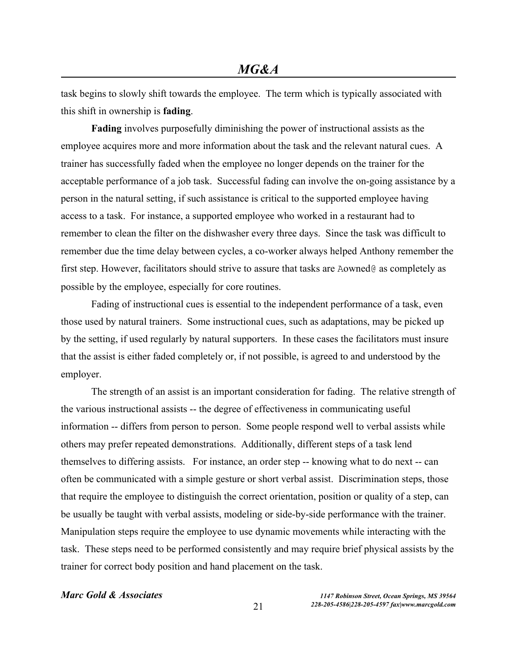task begins to slowly shift towards the employee. The term which is typically associated with this shift in ownership is **fading**.

**Fading** involves purposefully diminishing the power of instructional assists as the employee acquires more and more information about the task and the relevant natural cues. A trainer has successfully faded when the employee no longer depends on the trainer for the acceptable performance of a job task. Successful fading can involve the on-going assistance by a person in the natural setting, if such assistance is critical to the supported employee having access to a task. For instance, a supported employee who worked in a restaurant had to remember to clean the filter on the dishwasher every three days. Since the task was difficult to remember due the time delay between cycles, a co-worker always helped Anthony remember the first step. However, facilitators should strive to assure that tasks are Aowned@ as completely as possible by the employee, especially for core routines.

Fading of instructional cues is essential to the independent performance of a task, even those used by natural trainers. Some instructional cues, such as adaptations, may be picked up by the setting, if used regularly by natural supporters. In these cases the facilitators must insure that the assist is either faded completely or, if not possible, is agreed to and understood by the employer.

The strength of an assist is an important consideration for fading. The relative strength of the various instructional assists -- the degree of effectiveness in communicating useful information -- differs from person to person. Some people respond well to verbal assists while others may prefer repeated demonstrations. Additionally, different steps of a task lend themselves to differing assists. For instance, an order step -- knowing what to do next -- can often be communicated with a simple gesture or short verbal assist. Discrimination steps, those that require the employee to distinguish the correct orientation, position or quality of a step, can be usually be taught with verbal assists, modeling or side-by-side performance with the trainer. Manipulation steps require the employee to use dynamic movements while interacting with the task. These steps need to be performed consistently and may require brief physical assists by the trainer for correct body position and hand placement on the task.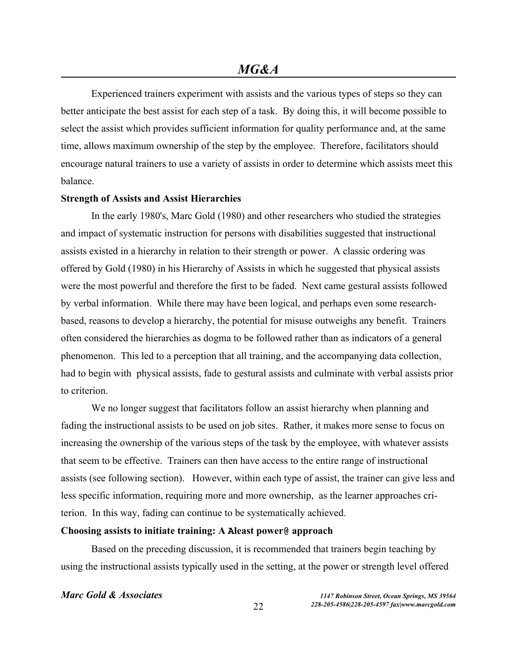Experienced trainers experiment with assists and the various types of steps so they can better anticipate the best assist for each step of a task. By doing this, it will become possible to select the assist which provides sufficient information for quality performance and, at the same time, allows maximum ownership of the step by the employee. Therefore, facilitators should encourage natural trainers to use a variety of assists in order to determine which assists meet this balance.

### **Strength of Assists and Assist Hierarchies**

In the early 1980's, Marc Gold (1980) and other researchers who studied the strategies and impact of systematic instruction for persons with disabilities suggested that instructional assists existed in a hierarchy in relation to their strength or power. A classic ordering was offered by Gold (1980) in his Hierarchy of Assists in which he suggested that physical assists were the most powerful and therefore the first to be faded. Next came gestural assists followed by verbal information. While there may have been logical, and perhaps even some researchbased, reasons to develop a hierarchy, the potential for misuse outweighs any benefit. Trainers often considered the hierarchies as dogma to be followed rather than as indicators of a general phenomenon. This led to a perception that all training, and the accompanying data collection, had to begin with physical assists, fade to gestural assists and culminate with verbal assists prior to criterion.

We no longer suggest that facilitators follow an assist hierarchy when planning and fading the instructional assists to be used on job sites. Rather, it makes more sense to focus on increasing the ownership of the various steps of the task by the employee, with whatever assists that seem to be effective. Trainers can then have access to the entire range of instructional assists (see following section). However, within each type of assist, the trainer can give less and less specific information, requiring more and more ownership, as the learner approaches criterion. In this way, fading can continue to be systematically achieved.

### **Choosing assists to initiate training: A Aleast power@ approach**

Based on the preceding discussion, it is recommended that trainers begin teaching by using the instructional assists typically used in the setting, at the power or strength level offered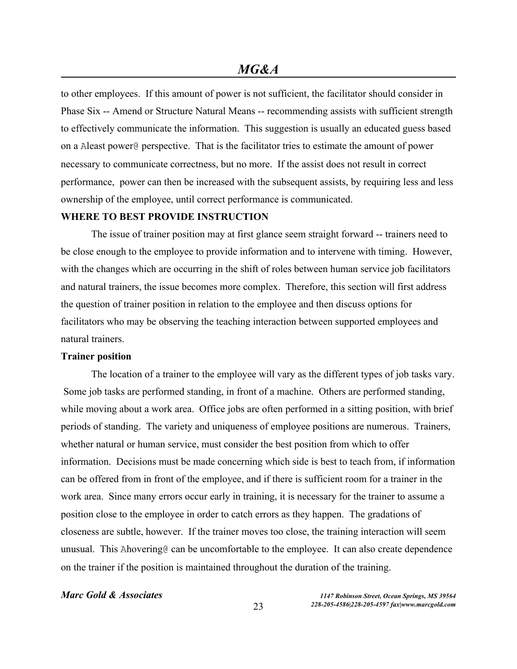to other employees. If this amount of power is not sufficient, the facilitator should consider in Phase Six -- Amend or Structure Natural Means -- recommending assists with sufficient strength to effectively communicate the information. This suggestion is usually an educated guess based on a Aleast power@ perspective. That is the facilitator tries to estimate the amount of power necessary to communicate correctness, but no more. If the assist does not result in correct performance, power can then be increased with the subsequent assists, by requiring less and less ownership of the employee, until correct performance is communicated.

### **WHERE TO BEST PROVIDE INSTRUCTION**

The issue of trainer position may at first glance seem straight forward -- trainers need to be close enough to the employee to provide information and to intervene with timing. However, with the changes which are occurring in the shift of roles between human service job facilitators and natural trainers, the issue becomes more complex. Therefore, this section will first address the question of trainer position in relation to the employee and then discuss options for facilitators who may be observing the teaching interaction between supported employees and natural trainers.

### **Trainer position**

The location of a trainer to the employee will vary as the different types of job tasks vary. Some job tasks are performed standing, in front of a machine. Others are performed standing, while moving about a work area. Office jobs are often performed in a sitting position, with brief periods of standing. The variety and uniqueness of employee positions are numerous. Trainers, whether natural or human service, must consider the best position from which to offer information. Decisions must be made concerning which side is best to teach from, if information can be offered from in front of the employee, and if there is sufficient room for a trainer in the work area. Since many errors occur early in training, it is necessary for the trainer to assume a position close to the employee in order to catch errors as they happen. The gradations of closeness are subtle, however. If the trainer moves too close, the training interaction will seem unusual. This Ahovering o can be uncomfortable to the employee. It can also create dependence on the trainer if the position is maintained throughout the duration of the training.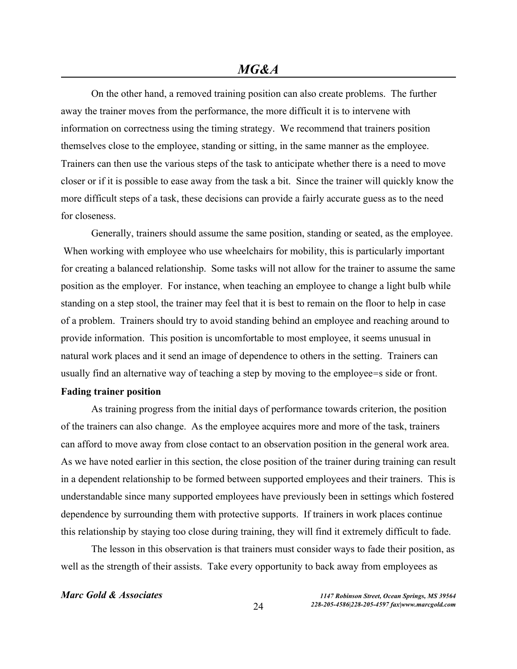On the other hand, a removed training position can also create problems. The further away the trainer moves from the performance, the more difficult it is to intervene with information on correctness using the timing strategy. We recommend that trainers position themselves close to the employee, standing or sitting, in the same manner as the employee. Trainers can then use the various steps of the task to anticipate whether there is a need to move closer or if it is possible to ease away from the task a bit. Since the trainer will quickly know the more difficult steps of a task, these decisions can provide a fairly accurate guess as to the need for closeness.

Generally, trainers should assume the same position, standing or seated, as the employee. When working with employee who use wheelchairs for mobility, this is particularly important for creating a balanced relationship. Some tasks will not allow for the trainer to assume the same position as the employer. For instance, when teaching an employee to change a light bulb while standing on a step stool, the trainer may feel that it is best to remain on the floor to help in case of a problem. Trainers should try to avoid standing behind an employee and reaching around to provide information. This position is uncomfortable to most employee, it seems unusual in natural work places and it send an image of dependence to others in the setting. Trainers can usually find an alternative way of teaching a step by moving to the employee=s side or front. **Fading trainer position**

As training progress from the initial days of performance towards criterion, the position of the trainers can also change. As the employee acquires more and more of the task, trainers can afford to move away from close contact to an observation position in the general work area. As we have noted earlier in this section, the close position of the trainer during training can result in a dependent relationship to be formed between supported employees and their trainers. This is understandable since many supported employees have previously been in settings which fostered dependence by surrounding them with protective supports. If trainers in work places continue this relationship by staying too close during training, they will find it extremely difficult to fade.

The lesson in this observation is that trainers must consider ways to fade their position, as well as the strength of their assists. Take every opportunity to back away from employees as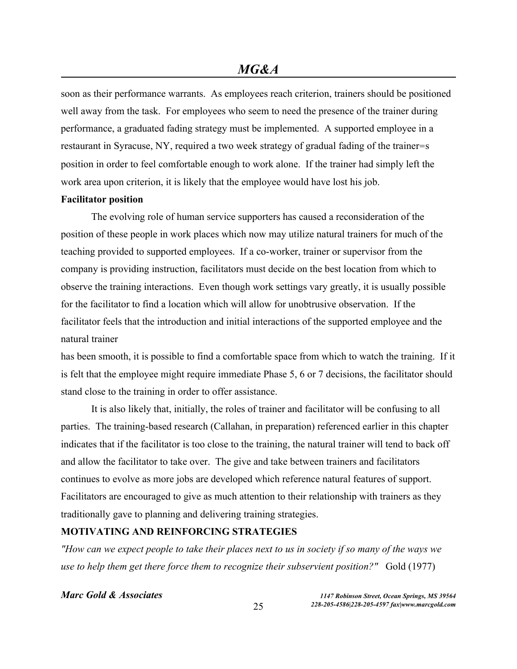soon as their performance warrants. As employees reach criterion, trainers should be positioned well away from the task. For employees who seem to need the presence of the trainer during performance, a graduated fading strategy must be implemented. A supported employee in a restaurant in Syracuse, NY, required a two week strategy of gradual fading of the trainer=s position in order to feel comfortable enough to work alone. If the trainer had simply left the work area upon criterion, it is likely that the employee would have lost his job.

### **Facilitator position**

The evolving role of human service supporters has caused a reconsideration of the position of these people in work places which now may utilize natural trainers for much of the teaching provided to supported employees. If a co-worker, trainer or supervisor from the company is providing instruction, facilitators must decide on the best location from which to observe the training interactions. Even though work settings vary greatly, it is usually possible for the facilitator to find a location which will allow for unobtrusive observation. If the facilitator feels that the introduction and initial interactions of the supported employee and the natural trainer

has been smooth, it is possible to find a comfortable space from which to watch the training. If it is felt that the employee might require immediate Phase 5, 6 or 7 decisions, the facilitator should stand close to the training in order to offer assistance.

It is also likely that, initially, the roles of trainer and facilitator will be confusing to all parties. The training-based research (Callahan, in preparation) referenced earlier in this chapter indicates that if the facilitator is too close to the training, the natural trainer will tend to back off and allow the facilitator to take over. The give and take between trainers and facilitators continues to evolve as more jobs are developed which reference natural features of support. Facilitators are encouraged to give as much attention to their relationship with trainers as they traditionally gave to planning and delivering training strategies.

## **MOTIVATING AND REINFORCING STRATEGIES**

*"How can we expect people to take their places next to us in society if so many of the ways we use to help them get there force them to recognize their subservient position?"* Gold (1977)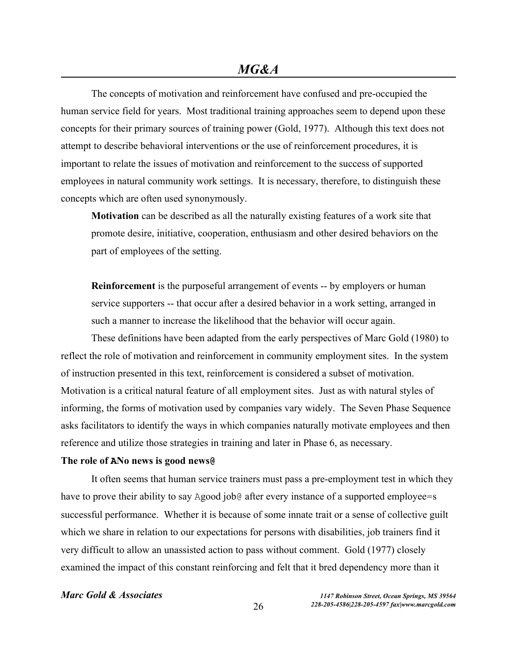The concepts of motivation and reinforcement have confused and pre-occupied the human service field for years. Most traditional training approaches seem to depend upon these concepts for their primary sources of training power (Gold, 1977). Although this text does not attempt to describe behavioral interventions or the use of reinforcement procedures, it is important to relate the issues of motivation and reinforcement to the success of supported employees in natural community work settings. It is necessary, therefore, to distinguish these concepts which are often used synonymously.

**Motivation** can be described as all the naturally existing features of a work site that promote desire, initiative, cooperation, enthusiasm and other desired behaviors on the part of employees of the setting.

**Reinforcement** is the purposeful arrangement of events -- by employers or human service supporters -- that occur after a desired behavior in a work setting, arranged in such a manner to increase the likelihood that the behavior will occur again.

These definitions have been adapted from the early perspectives of Marc Gold (1980) to reflect the role of motivation and reinforcement in community employment sites. In the system of instruction presented in this text, reinforcement is considered a subset of motivation. Motivation is a critical natural feature of all employment sites. Just as with natural styles of informing, the forms of motivation used by companies vary widely. The Seven Phase Sequence asks facilitators to identify the ways in which companies naturally motivate employees and then reference and utilize those strategies in training and later in Phase 6, as necessary.

## **The role of ANo news is good news@**

It often seems that human service trainers must pass a pre-employment test in which they have to prove their ability to say Agood job@ after every instance of a supported employee=s successful performance. Whether it is because of some innate trait or a sense of collective guilt which we share in relation to our expectations for persons with disabilities, job trainers find it very difficult to allow an unassisted action to pass without comment. Gold (1977) closely examined the impact of this constant reinforcing and felt that it bred dependency more than it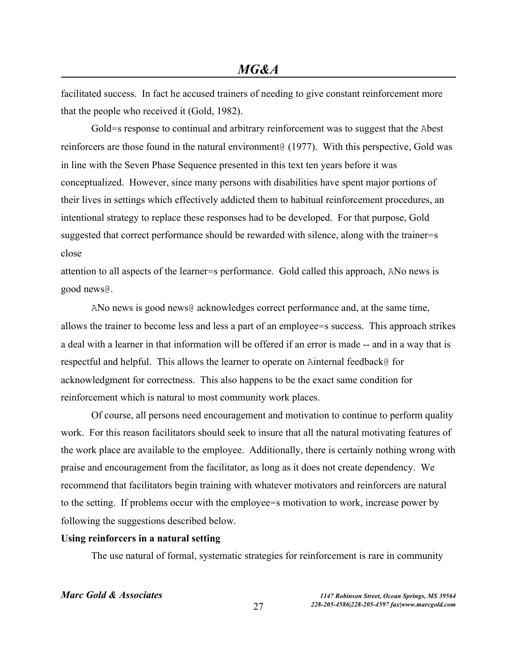facilitated success. In fact he accused trainers of needing to give constant reinforcement more that the people who received it (Gold, 1982).

Gold=s response to continual and arbitrary reinforcement was to suggest that the Abest reinforcers are those found in the natural environment@ (1977). With this perspective, Gold was in line with the Seven Phase Sequence presented in this text ten years before it was conceptualized. However, since many persons with disabilities have spent major portions of their lives in settings which effectively addicted them to habitual reinforcement procedures, an intentional strategy to replace these responses had to be developed. For that purpose, Gold suggested that correct performance should be rewarded with silence, along with the trainer=s close

attention to all aspects of the learner=s performance. Gold called this approach, ANo news is good news@.

ANo news is good news@ acknowledges correct performance and, at the same time, allows the trainer to become less and less a part of an employee=s success. This approach strikes a deal with a learner in that information will be offered if an error is made -- and in a way that is respectful and helpful. This allows the learner to operate on Ainternal feedback@ for acknowledgment for correctness. This also happens to be the exact same condition for reinforcement which is natural to most community work places.

Of course, all persons need encouragement and motivation to continue to perform quality work. For this reason facilitators should seek to insure that all the natural motivating features of the work place are available to the employee. Additionally, there is certainly nothing wrong with praise and encouragement from the facilitator, as long as it does not create dependency. We recommend that facilitators begin training with whatever motivators and reinforcers are natural to the setting. If problems occur with the employee=s motivation to work, increase power by following the suggestions described below.

### **Using reinforcers in a natural setting**

The use natural of formal, systematic strategies for reinforcement is rare in community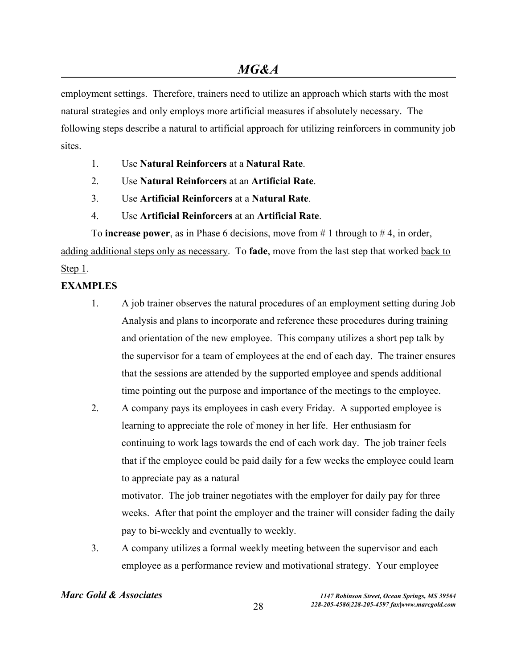employment settings. Therefore, trainers need to utilize an approach which starts with the most natural strategies and only employs more artificial measures if absolutely necessary. The following steps describe a natural to artificial approach for utilizing reinforcers in community job sites.

- 1. Use **Natural Reinforcers** at a **Natural Rate**.
- 2. Use **Natural Reinforcers** at an **Artificial Rate**.
- 3. Use **Artificial Reinforcers** at a **Natural Rate**.
- 4. Use **Artificial Reinforcers** at an **Artificial Rate**.

To **increase power**, as in Phase 6 decisions, move from # 1 through to # 4, in order, adding additional steps only as necessary. To **fade**, move from the last step that worked back to Step 1.

## **EXAMPLES**

- 1. A job trainer observes the natural procedures of an employment setting during Job Analysis and plans to incorporate and reference these procedures during training and orientation of the new employee. This company utilizes a short pep talk by the supervisor for a team of employees at the end of each day. The trainer ensures that the sessions are attended by the supported employee and spends additional time pointing out the purpose and importance of the meetings to the employee.
- 2. A company pays its employees in cash every Friday. A supported employee is learning to appreciate the role of money in her life. Her enthusiasm for continuing to work lags towards the end of each work day. The job trainer feels that if the employee could be paid daily for a few weeks the employee could learn to appreciate pay as a natural

motivator. The job trainer negotiates with the employer for daily pay for three weeks. After that point the employer and the trainer will consider fading the daily pay to bi-weekly and eventually to weekly.

3. A company utilizes a formal weekly meeting between the supervisor and each employee as a performance review and motivational strategy. Your employee